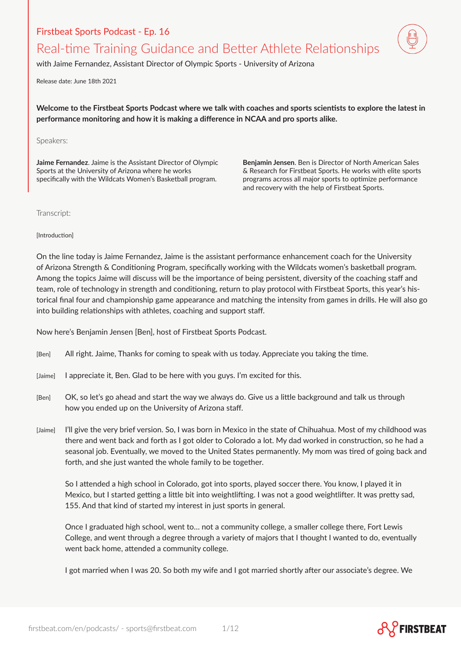## Firstbeat Sports Podcast - Ep. 16

## Real-time Training Guidance and Better Athlete Relationships

with Jaime Fernandez, Assistant Director of Olympic Sports - University of Arizona

Release date: June 18th 2021

**Welcome to the Firstbeat Sports Podcast where we talk with coaches and sports scientists to explore the latest in performance monitoring and how it is making a difference in NCAA and pro sports alike.**

Speakers:

**Jaime Fernandez**. Jaime is the Assistant Director of Olympic Sports at the University of Arizona where he works specifically with the Wildcats Women's Basketball program.

**Benjamin Jensen**. Ben is Director of North American Sales & Research for Firstbeat Sports. He works with elite sports programs across all major sports to optimize performance and recovery with the help of Firstbeat Sports.

Transcript:

[Introduction]

On the line today is Jaime Fernandez, Jaime is the assistant performance enhancement coach for the University of Arizona Strength & Conditioning Program, specifically working with the Wildcats women's basketball program. Among the topics Jaime will discuss will be the importance of being persistent, diversity of the coaching staff and team, role of technology in strength and conditioning, return to play protocol with Firstbeat Sports, this year's historical final four and championship game appearance and matching the intensity from games in drills. He will also go into building relationships with athletes, coaching and support staff.

Now here's Benjamin Jensen [Ben], host of Firstbeat Sports Podcast.

- [Ben] All right. Jaime, Thanks for coming to speak with us today. Appreciate you taking the time.
- [Jaime] I appreciate it, Ben. Glad to be here with you guys. I'm excited for this.
- [Ben] OK, so let's go ahead and start the way we always do. Give us a little background and talk us through how you ended up on the University of Arizona staff.
- [Jaime] I'll give the very brief version. So, I was born in Mexico in the state of Chihuahua. Most of my childhood was there and went back and forth as I got older to Colorado a lot. My dad worked in construction, so he had a seasonal job. Eventually, we moved to the United States permanently. My mom was tired of going back and forth, and she just wanted the whole family to be together.

So I attended a high school in Colorado, got into sports, played soccer there. You know, I played it in Mexico, but I started getting a little bit into weightlifting. I was not a good weightlifter. It was pretty sad, 155. And that kind of started my interest in just sports in general.

Once I graduated high school, went to… not a community college, a smaller college there, Fort Lewis College, and went through a degree through a variety of majors that I thought I wanted to do, eventually went back home, attended a community college.

I got married when I was 20. So both my wife and I got married shortly after our associate's degree. We

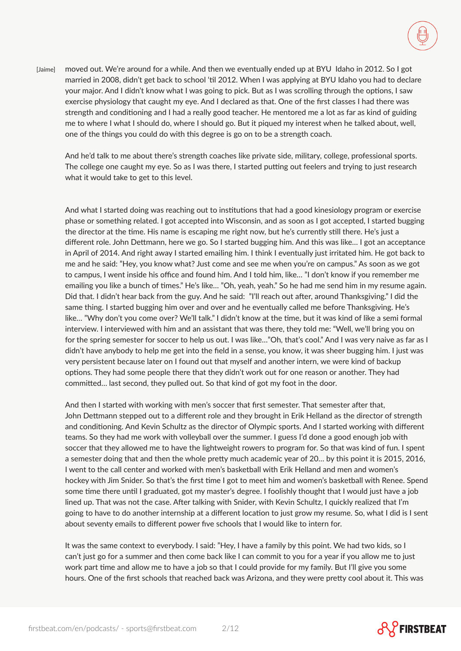

[Jaime] moved out. We're around for a while. And then we eventually ended up at BYU Idaho in 2012. So I got married in 2008, didn't get back to school 'til 2012. When I was applying at BYU Idaho you had to declare your major. And I didn't know what I was going to pick. But as I was scrolling through the options, I saw exercise physiology that caught my eye. And I declared as that. One of the first classes I had there was strength and conditioning and I had a really good teacher. He mentored me a lot as far as kind of guiding me to where I what I should do, where I should go. But it piqued my interest when he talked about, well, one of the things you could do with this degree is go on to be a strength coach.

And he'd talk to me about there's strength coaches like private side, military, college, professional sports. The college one caught my eye. So as I was there, I started putting out feelers and trying to just research what it would take to get to this level.

And what I started doing was reaching out to institutions that had a good kinesiology program or exercise phase or something related. I got accepted into Wisconsin, and as soon as I got accepted, I started bugging the director at the time. His name is escaping me right now, but he's currently still there. He's just a different role. John Dettmann, here we go. So I started bugging him. And this was like… I got an acceptance in April of 2014. And right away I started emailing him. I think I eventually just irritated him. He got back to me and he said: "Hey, you know what? Just come and see me when you're on campus." As soon as we got to campus, I went inside his office and found him. And I told him, like… "I don't know if you remember me emailing you like a bunch of times." He's like… "Oh, yeah, yeah." So he had me send him in my resume again. Did that. I didn't hear back from the guy. And he said: "I'll reach out after, around Thanksgiving." I did the same thing. I started bugging him over and over and he eventually called me before Thanksgiving. He's like… "Why don't you come over? We'll talk." I didn't know at the time, but it was kind of like a semi formal interview. I interviewed with him and an assistant that was there, they told me: "Well, we'll bring you on for the spring semester for soccer to help us out. I was like…"Oh, that's cool." And I was very naive as far as I didn't have anybody to help me get into the field in a sense, you know, it was sheer bugging him. I just was very persistent because later on I found out that myself and another intern, we were kind of backup options. They had some people there that they didn't work out for one reason or another. They had committed… last second, they pulled out. So that kind of got my foot in the door.

And then I started with working with men's soccer that first semester. That semester after that, John Dettmann stepped out to a different role and they brought in Erik Helland as the director of strength and conditioning. And Kevin Schultz as the director of Olympic sports. And I started working with different teams. So they had me work with volleyball over the summer. I guess I'd done a good enough job with soccer that they allowed me to have the lightweight rowers to program for. So that was kind of fun. I spent a semester doing that and then the whole pretty much academic year of 20… by this point it is 2015, 2016, I went to the call center and worked with men's basketball with Erik Helland and men and women's hockey with Jim Snider. So that's the first time I got to meet him and women's basketball with Renee. Spend some time there until I graduated, got my master's degree. I foolishly thought that I would just have a job lined up. That was not the case. After talking with Snider, with Kevin Schultz, I quickly realized that I'm going to have to do another internship at a different location to just grow my resume. So, what I did is I sent about seventy emails to different power five schools that I would like to intern for.

It was the same context to everybody. I said: "Hey, I have a family by this point. We had two kids, so I can't just go for a summer and then come back like I can commit to you for a year if you allow me to just work part time and allow me to have a job so that I could provide for my family. But I'll give you some hours. One of the first schools that reached back was Arizona, and they were pretty cool about it. This was

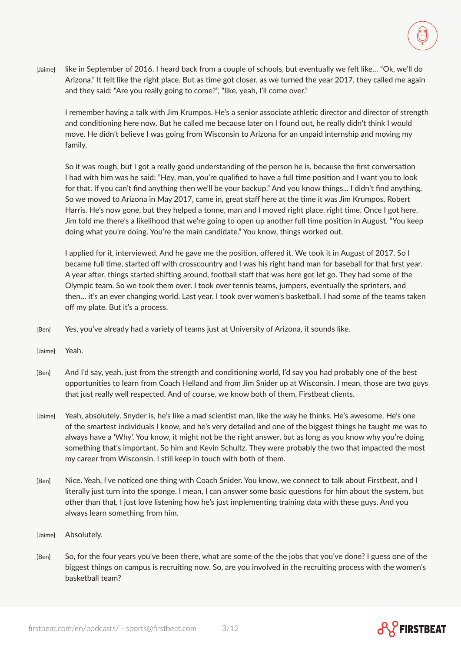[Jaime] like in September of 2016. I heard back from a couple of schools, but eventually we felt like… "Ok, we'll do Arizona." It felt like the right place. But as time got closer, as we turned the year 2017, they called me again and they said: "Are you really going to come?", "like, yeah, I'll come over."

I remember having a talk with Jim Krumpos. He's a senior associate athletic director and director of strength and conditioning here now. But he called me because later on I found out, he really didn't think I would move. He didn't believe I was going from Wisconsin to Arizona for an unpaid internship and moving my family.

So it was rough, but I got a really good understanding of the person he is, because the first conversation I had with him was he said: "Hey, man, you're qualified to have a full time position and I want you to look for that. If you can't find anything then we'll be your backup." And you know things... I didn't find anything. So we moved to Arizona in May 2017, came in, great staff here at the time it was Jim Krumpos, Robert Harris. He's now gone, but they helped a tonne, man and I moved right place, right time. Once I got here, Jim told me there's a likelihood that we're going to open up another full time position in August. "You keep doing what you're doing. You're the main candidate." You know, things worked out.

I applied for it, interviewed. And he gave me the position, offered it. We took it in August of 2017. So I became full time, started off with crosscountry and I was his right hand man for baseball for that first year. A year after, things started shifting around, football staff that was here got let go. They had some of the Olympic team. So we took them over. I took over tennis teams, jumpers, eventually the sprinters, and then… it's an ever changing world. Last year, I took over women's basketball. I had some of the teams taken off my plate. But it's a process.

- [Ben] Yes, you've already had a variety of teams just at University of Arizona, it sounds like.
- [Jaime] Yeah.
- [Ben] And I'd say, yeah, just from the strength and conditioning world, I'd say you had probably one of the best opportunities to learn from Coach Helland and from Jim Snider up at Wisconsin. I mean, those are two guys that just really well respected. And of course, we know both of them, Firstbeat clients.
- [Jaime] Yeah, absolutely. Snyder is, he's like a mad scientist man, like the way he thinks. He's awesome. He's one of the smartest individuals I know, and he's very detailed and one of the biggest things he taught me was to always have a 'Why'. You know, it might not be the right answer, but as long as you know why you're doing something that's important. So him and Kevin Schultz. They were probably the two that impacted the most my career from Wisconsin. I still keep in touch with both of them.
- [Ben] Nice. Yeah, I've noticed one thing with Coach Snider. You know, we connect to talk about Firstbeat, and I literally just turn into the sponge. I mean, I can answer some basic questions for him about the system, but other than that, I just love listening how he's just implementing training data with these guys. And you always learn something from him.
- [Jaime] Absolutely.
- [Ben] So, for the four years you've been there, what are some of the the jobs that you've done? I guess one of the biggest things on campus is recruiting now. So, are you involved in the recruiting process with the women's basketball team?



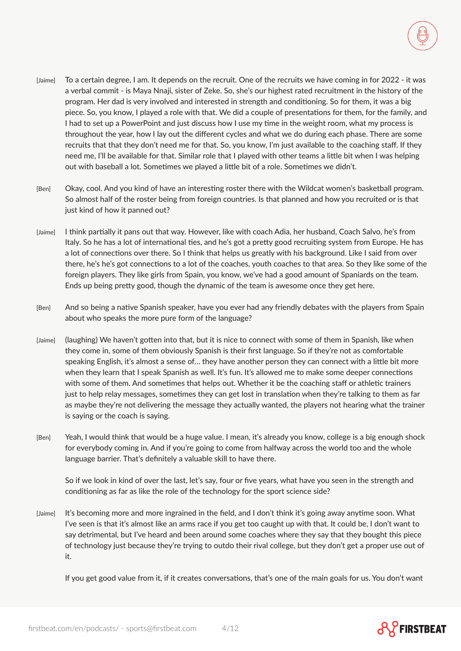- [Jaime] To a certain degree, I am. It depends on the recruit. One of the recruits we have coming in for 2022 it was a verbal commit - is Maya Nnaji, sister of Zeke. So, she's our highest rated recruitment in the history of the program. Her dad is very involved and interested in strength and conditioning. So for them, it was a big piece. So, you know, I played a role with that. We did a couple of presentations for them, for the family, and I had to set up a PowerPoint and just discuss how I use my time in the weight room, what my process is throughout the year, how I lay out the different cycles and what we do during each phase. There are some recruits that that they don't need me for that. So, you know, I'm just available to the coaching staff. If they need me, I'll be available for that. Similar role that I played with other teams a little bit when I was helping out with baseball a lot. Sometimes we played a little bit of a role. Sometimes we didn't.
- [Ben] Okay, cool. And you kind of have an interesting roster there with the Wildcat women's basketball program. So almost half of the roster being from foreign countries. Is that planned and how you recruited or is that just kind of how it panned out?
- [Jaime] I think partially it pans out that way. However, like with coach Adia, her husband, Coach Salvo, he's from Italy. So he has a lot of international ties, and he's got a pretty good recruiting system from Europe. He has a lot of connections over there. So I think that helps us greatly with his background. Like I said from over there, he's he's got connections to a lot of the coaches, youth coaches to that area. So they like some of the foreign players. They like girls from Spain, you know, we've had a good amount of Spaniards on the team. Ends up being pretty good, though the dynamic of the team is awesome once they get here.
- [Ben] And so being a native Spanish speaker, have you ever had any friendly debates with the players from Spain about who speaks the more pure form of the language?
- [Jaime] (laughing) We haven't gotten into that, but it is nice to connect with some of them in Spanish, like when they come in, some of them obviously Spanish is their first language. So if they're not as comfortable speaking English, it's almost a sense of… they have another person they can connect with a little bit more when they learn that I speak Spanish as well. It's fun. It's allowed me to make some deeper connections with some of them. And sometimes that helps out. Whether it be the coaching staff or athletic trainers just to help relay messages, sometimes they can get lost in translation when they're talking to them as far as maybe they're not delivering the message they actually wanted, the players not hearing what the trainer is saying or the coach is saying.
- [Ben] Yeah, I would think that would be a huge value. I mean, it's already you know, college is a big enough shock for everybody coming in. And if you're going to come from halfway across the world too and the whole language barrier. That's definitely a valuable skill to have there.

So if we look in kind of over the last, let's say, four or five years, what have you seen in the strength and conditioning as far as like the role of the technology for the sport science side?

[Jaime] It's becoming more and more ingrained in the field, and I don't think it's going away anytime soon. What I've seen is that it's almost like an arms race if you get too caught up with that. It could be, I don't want to say detrimental, but I've heard and been around some coaches where they say that they bought this piece of technology just because they're trying to outdo their rival college, but they don't get a proper use out of it.

If you get good value from it, if it creates conversations, that's one of the main goals for us. You don't want

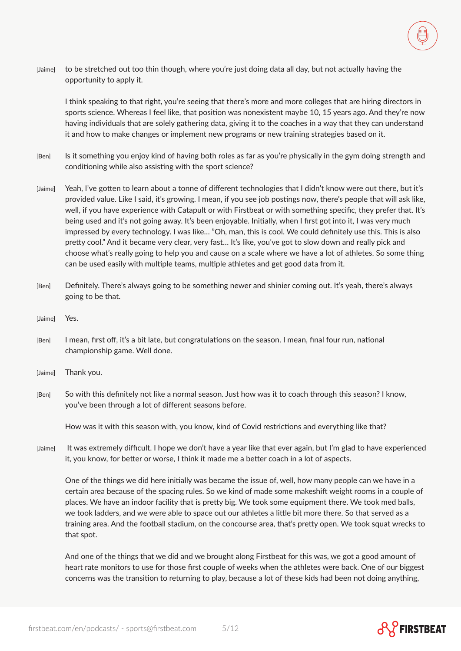

[Jaime] to be stretched out too thin though, where you're just doing data all day, but not actually having the opportunity to apply it.

I think speaking to that right, you're seeing that there's more and more colleges that are hiring directors in sports science. Whereas I feel like, that position was nonexistent maybe 10, 15 years ago. And they're now having individuals that are solely gathering data, giving it to the coaches in a way that they can understand it and how to make changes or implement new programs or new training strategies based on it.

- [Ben] Is it something you enjoy kind of having both roles as far as you're physically in the gym doing strength and conditioning while also assisting with the sport science?
- [Jaime] Yeah, I've gotten to learn about a tonne of different technologies that I didn't know were out there, but it's provided value. Like I said, it's growing. I mean, if you see job postings now, there's people that will ask like, well, if you have experience with Catapult or with Firstbeat or with something specific, they prefer that. It's being used and it's not going away. It's been enjoyable. Initially, when I first got into it, I was very much impressed by every technology. I was like… "Oh, man, this is cool. We could definitely use this. This is also pretty cool." And it became very clear, very fast… It's like, you've got to slow down and really pick and choose what's really going to help you and cause on a scale where we have a lot of athletes. So some thing can be used easily with multiple teams, multiple athletes and get good data from it.
- [Ben] Definitely. There's always going to be something newer and shinier coming out. It's yeah, there's always going to be that.
- [Jaime] Yes.
- [Ben] I mean, first off, it's a bit late, but congratulations on the season. I mean, final four run, national championship game. Well done.
- [Jaime] Thank you.
- [Ben] So with this definitely not like a normal season. Just how was it to coach through this season? I know, you've been through a lot of different seasons before.

How was it with this season with, you know, kind of Covid restrictions and everything like that?

[Jaime] It was extremely difficult. I hope we don't have a year like that ever again, but I'm glad to have experienced it, you know, for better or worse, I think it made me a better coach in a lot of aspects.

One of the things we did here initially was became the issue of, well, how many people can we have in a certain area because of the spacing rules. So we kind of made some makeshift weight rooms in a couple of places. We have an indoor facility that is pretty big. We took some equipment there. We took med balls, we took ladders, and we were able to space out our athletes a little bit more there. So that served as a training area. And the football stadium, on the concourse area, that's pretty open. We took squat wrecks to that spot.

And one of the things that we did and we brought along Firstbeat for this was, we got a good amount of heart rate monitors to use for those first couple of weeks when the athletes were back. One of our biggest concerns was the transition to returning to play, because a lot of these kids had been not doing anything,

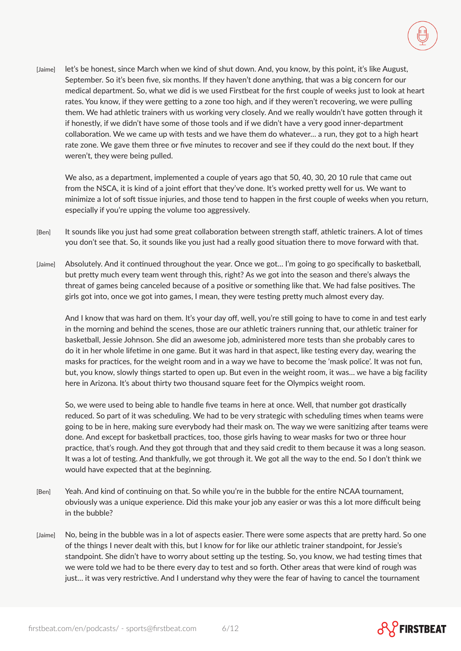[Jaime] let's be honest, since March when we kind of shut down. And, you know, by this point, it's like August, September. So it's been five, six months. If they haven't done anything, that was a big concern for our medical department. So, what we did is we used Firstbeat for the first couple of weeks just to look at heart rates. You know, if they were getting to a zone too high, and if they weren't recovering, we were pulling them. We had athletic trainers with us working very closely. And we really wouldn't have gotten through it if honestly, if we didn't have some of those tools and if we didn't have a very good inner-department collaboration. We we came up with tests and we have them do whatever… a run, they got to a high heart rate zone. We gave them three or five minutes to recover and see if they could do the next bout. If they weren't, they were being pulled.

We also, as a department, implemented a couple of years ago that 50, 40, 30, 20 10 rule that came out from the NSCA, it is kind of a joint effort that they've done. It's worked pretty well for us. We want to minimize a lot of soft tissue injuries, and those tend to happen in the first couple of weeks when you return, especially if you're upping the volume too aggressively.

- [Ben] It sounds like you just had some great collaboration between strength staff, athletic trainers. A lot of times you don't see that. So, it sounds like you just had a really good situation there to move forward with that.
- [Jaime]  Absolutely. And it continued throughout the year. Once we got… I'm going to go specifically to basketball, but pretty much every team went through this, right? As we got into the season and there's always the threat of games being canceled because of a positive or something like that. We had false positives. The girls got into, once we got into games, I mean, they were testing pretty much almost every day.

And I know that was hard on them. It's your day off, well, you're still going to have to come in and test early in the morning and behind the scenes, those are our athletic trainers running that, our athletic trainer for basketball, Jessie Johnson. She did an awesome job, administered more tests than she probably cares to do it in her whole lifetime in one game. But it was hard in that aspect, like testing every day, wearing the masks for practices, for the weight room and in a way we have to become the 'mask police'. It was not fun, but, you know, slowly things started to open up. But even in the weight room, it was… we have a big facility here in Arizona. It's about thirty two thousand square feet for the Olympics weight room.

So, we were used to being able to handle five teams in here at once. Well, that number got drastically reduced. So part of it was scheduling. We had to be very strategic with scheduling times when teams were going to be in here, making sure everybody had their mask on. The way we were sanitizing after teams were done. And except for basketball practices, too, those girls having to wear masks for two or three hour practice, that's rough. And they got through that and they said credit to them because it was a long season. It was a lot of testing. And thankfully, we got through it. We got all the way to the end. So I don't think we would have expected that at the beginning.

- [Ben] Yeah. And kind of continuing on that. So while you're in the bubble for the entire NCAA tournament, obviously was a unique experience. Did this make your job any easier or was this a lot more difficult being in the bubble?
- [Jaime] No, being in the bubble was in a lot of aspects easier. There were some aspects that are pretty hard. So one of the things I never dealt with this, but I know for for like our athletic trainer standpoint, for Jessie's standpoint. She didn't have to worry about setting up the testing. So, you know, we had testing times that we were told we had to be there every day to test and so forth. Other areas that were kind of rough was just… it was very restrictive. And I understand why they were the fear of having to cancel the tournament



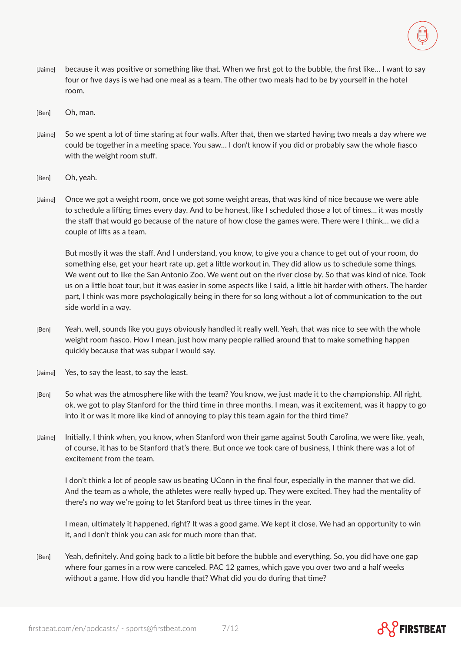

- [Jaime] because it was positive or something like that. When we first got to the bubble, the first like… I want to say four or five days is we had one meal as a team. The other two meals had to be by yourself in the hotel room.
- [Ben] Oh, man.
- [Jaime] So we spent a lot of time staring at four walls. After that, then we started having two meals a day where we could be together in a meeting space. You saw… I don't know if you did or probably saw the whole fiasco with the weight room stuff.
- [Ben] Oh, yeah.
- [Jaime] Once we got a weight room, once we got some weight areas, that was kind of nice because we were able to schedule a lifting times every day. And to be honest, like I scheduled those a lot of times… it was mostly the staff that would go because of the nature of how close the games were. There were I think… we did a couple of lifts as a team.

But mostly it was the staff. And I understand, you know, to give you a chance to get out of your room, do something else, get your heart rate up, get a little workout in. They did allow us to schedule some things. We went out to like the San Antonio Zoo. We went out on the river close by. So that was kind of nice. Took us on a little boat tour, but it was easier in some aspects like I said, a little bit harder with others. The harder part, I think was more psychologically being in there for so long without a lot of communication to the out side world in a way.

- [Ben] Yeah, well, sounds like you guys obviously handled it really well. Yeah, that was nice to see with the whole weight room fiasco. How I mean, just how many people rallied around that to make something happen quickly because that was subpar I would say.
- [Jaime] Yes, to say the least, to say the least.
- [Ben] So what was the atmosphere like with the team? You know, we just made it to the championship. All right, ok, we got to play Stanford for the third time in three months. I mean, was it excitement, was it happy to go into it or was it more like kind of annoying to play this team again for the third time?
- [Jaime] Initially, I think when, you know, when Stanford won their game against South Carolina, we were like, yeah, of course, it has to be Stanford that's there. But once we took care of business, I think there was a lot of excitement from the team.

I don't think a lot of people saw us beating UConn in the final four, especially in the manner that we did. And the team as a whole, the athletes were really hyped up. They were excited. They had the mentality of there's no way we're going to let Stanford beat us three times in the year.

I mean, ultimately it happened, right? It was a good game. We kept it close. We had an opportunity to win it, and I don't think you can ask for much more than that.

[Ben] Yeah, definitely. And going back to a little bit before the bubble and everything. So, you did have one gap where four games in a row were canceled. PAC 12 games, which gave you over two and a half weeks without a game. How did you handle that? What did you do during that time?

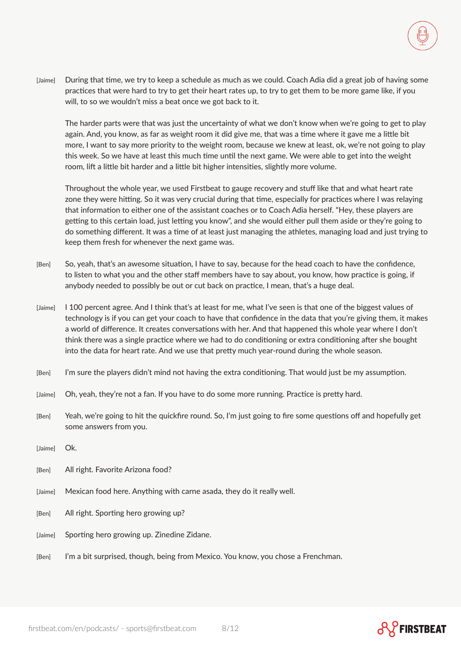[Jaime] During that time, we try to keep a schedule as much as we could. Coach Adia did a great job of having some practices that were hard to try to get their heart rates up, to try to get them to be more game like, if you will, to so we wouldn't miss a beat once we got back to it.

The harder parts were that was just the uncertainty of what we don't know when we're going to get to play again. And, you know, as far as weight room it did give me, that was a time where it gave me a little bit more, I want to say more priority to the weight room, because we knew at least, ok, we're not going to play this week. So we have at least this much time until the next game. We were able to get into the weight room, lift a little bit harder and a little bit higher intensities, slightly more volume.

Throughout the whole year, we used Firstbeat to gauge recovery and stuff like that and what heart rate zone they were hitting. So it was very crucial during that time, especially for practices where I was relaying that information to either one of the assistant coaches or to Coach Adia herself. "Hey, these players are getting to this certain load, just letting you know", and she would either pull them aside or they're going to do something different. It was a time of at least just managing the athletes, managing load and just trying to keep them fresh for whenever the next game was.

- [Ben] So, yeah, that's an awesome situation, I have to say, because for the head coach to have the confidence, to listen to what you and the other staff members have to say about, you know, how practice is going, if anybody needed to possibly be out or cut back on practice, I mean, that's a huge deal.
- [Jaime] I 100 percent agree. And I think that's at least for me, what I've seen is that one of the biggest values of technology is if you can get your coach to have that confidence in the data that you're giving them, it makes a world of difference. It creates conversations with her. And that happened this whole year where I don't think there was a single practice where we had to do conditioning or extra conditioning after she bought into the data for heart rate. And we use that pretty much year-round during the whole season.
- [Ben] I'm sure the players didn't mind not having the extra conditioning. That would just be my assumption.
- [Jaime] Oh, yeah, they're not a fan. If you have to do some more running. Practice is pretty hard.
- [Ben] Yeah, we're going to hit the quickfire round. So, I'm just going to fire some questions off and hopefully get some answers from you.
- [Jaime] Ok.
- [Ben] All right. Favorite Arizona food?
- [Jaime] Mexican food here. Anything with carne asada, they do it really well.
- [Ben] All right. Sporting hero growing up?
- [Jaime] Sporting hero growing up. Zinedine Zidane.
- [Ben] I'm a bit surprised, though, being from Mexico. You know, you chose a Frenchman.

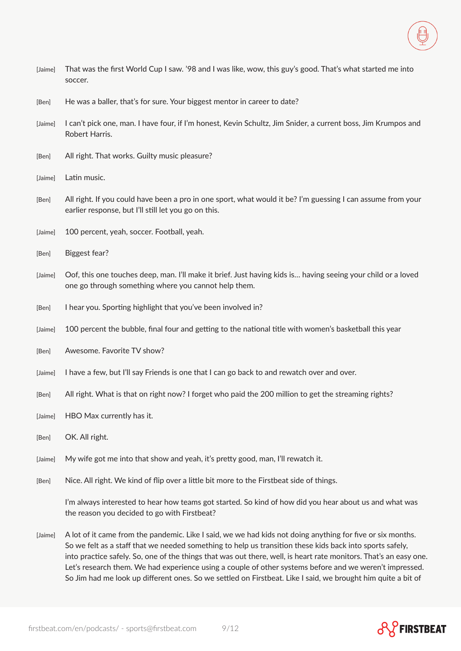- [Jaime] That was the first World Cup I saw. '98 and I was like, wow, this guy's good. That's what started me into soccer.
- [Ben] He was a baller, that's for sure. Your biggest mentor in career to date?
- [Jaime] I can't pick one, man. I have four, if I'm honest, Kevin Schultz, Jim Snider, a current boss, Jim Krumpos and Robert Harris.
- [Ben] All right. That works. Guilty music pleasure?
- [Jaime] Latin music.
- [Ben] All right. If you could have been a pro in one sport, what would it be? I'm guessing I can assume from your earlier response, but I'll still let you go on this.
- [Jaime] 100 percent, yeah, soccer. Football, yeah.
- [Ben] Biggest fear?
- [Jaime] Oof, this one touches deep, man. I'll make it brief. Just having kids is… having seeing your child or a loved one go through something where you cannot help them.
- [Ben] I hear you. Sporting highlight that you've been involved in?
- [Jaime] 100 percent the bubble, final four and getting to the national title with women's basketball this year
- [Ben] Awesome. Favorite TV show?
- [Jaime] I have a few, but I'll say Friends is one that I can go back to and rewatch over and over.
- [Ben] All right. What is that on right now? I forget who paid the 200 million to get the streaming rights?
- [Jaime] HBO Max currently has it.
- [Ben] OK. All right.
- [Jaime] My wife got me into that show and yeah, it's pretty good, man, I'll rewatch it.
- [Ben] Nice. All right. We kind of flip over a little bit more to the Firstbeat side of things.

I'm always interested to hear how teams got started. So kind of how did you hear about us and what was the reason you decided to go with Firstbeat?

[Jaime] A lot of it came from the pandemic. Like I said, we we had kids not doing anything for five or six months. So we felt as a staff that we needed something to help us transition these kids back into sports safely, into practice safely. So, one of the things that was out there, well, is heart rate monitors. That's an easy one. Let's research them. We had experience using a couple of other systems before and we weren't impressed. So Jim had me look up different ones. So we settled on Firstbeat. Like I said, we brought him quite a bit of



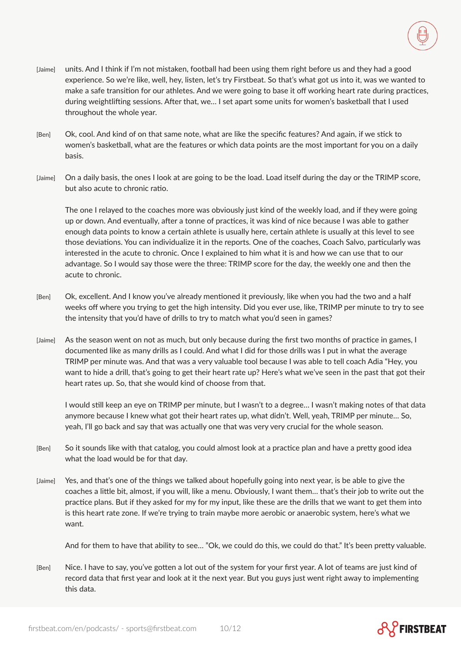

[Ben] Ok, cool. And kind of on that same note, what are like the specific features? And again, if we stick to women's basketball, what are the features or which data points are the most important for you on a daily basis.

throughout the whole year.

during weightlifting sessions. After that, we… I set apart some units for women's basketball that I used

[Jaime] On a daily basis, the ones I look at are going to be the load. Load itself during the day or the TRIMP score, but also acute to chronic ratio.

The one I relayed to the coaches more was obviously just kind of the weekly load, and if they were going up or down. And eventually, after a tonne of practices, it was kind of nice because I was able to gather enough data points to know a certain athlete is usually here, certain athlete is usually at this level to see those deviations. You can individualize it in the reports. One of the coaches, Coach Salvo, particularly was interested in the acute to chronic. Once I explained to him what it is and how we can use that to our advantage. So I would say those were the three: TRIMP score for the day, the weekly one and then the acute to chronic.

- [Ben] Ok, excellent. And I know you've already mentioned it previously, like when you had the two and a half weeks off where you trying to get the high intensity. Did you ever use, like, TRIMP per minute to try to see the intensity that you'd have of drills to try to match what you'd seen in games?
- [Jaime] As the season went on not as much, but only because during the first two months of practice in games, I documented like as many drills as I could. And what I did for those drills was I put in what the average TRIMP per minute was. And that was a very valuable tool because I was able to tell coach Adia "Hey, you want to hide a drill, that's going to get their heart rate up? Here's what we've seen in the past that got their heart rates up. So, that she would kind of choose from that.

I would still keep an eye on TRIMP per minute, but I wasn't to a degree… I wasn't making notes of that data anymore because I knew what got their heart rates up, what didn't. Well, yeah, TRIMP per minute… So, yeah, I'll go back and say that was actually one that was very very crucial for the whole season.

- [Ben] So it sounds like with that catalog, you could almost look at a practice plan and have a pretty good idea what the load would be for that day.
- [Jaime] Yes, and that's one of the things we talked about hopefully going into next year, is be able to give the coaches a little bit, almost, if you will, like a menu. Obviously, I want them… that's their job to write out the practice plans. But if they asked for my for my input, like these are the drills that we want to get them into is this heart rate zone. If we're trying to train maybe more aerobic or anaerobic system, here's what we want.

And for them to have that ability to see… "Ok, we could do this, we could do that." It's been pretty valuable.

[Ben] Nice. I have to say, you've gotten a lot out of the system for your first year. A lot of teams are just kind of record data that first year and look at it the next year. But you guys just went right away to implementing this data.

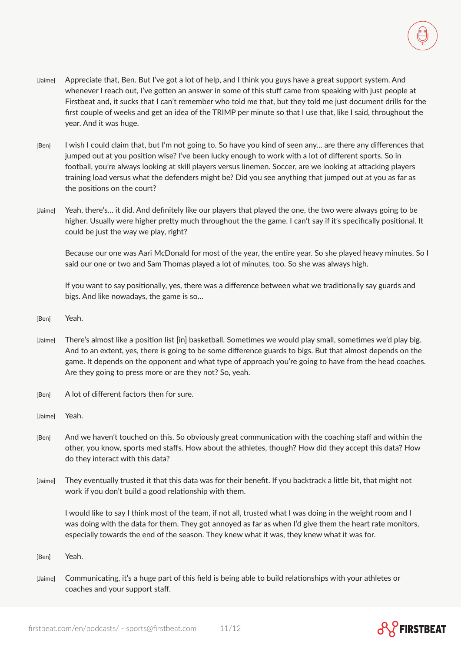- [Jaime] Appreciate that, Ben. But I've got a lot of help, and I think you guys have a great support system. And whenever I reach out, I've gotten an answer in some of this stuff came from speaking with just people at Firstbeat and, it sucks that I can't remember who told me that, but they told me just document drills for the first couple of weeks and get an idea of the TRIMP per minute so that I use that, like I said, throughout the year. And it was huge.
- [Ben] I wish I could claim that, but I'm not going to. So have you kind of seen any… are there any differences that jumped out at you position wise? I've been lucky enough to work with a lot of different sports. So in football, you're always looking at skill players versus linemen. Soccer, are we looking at attacking players training load versus what the defenders might be? Did you see anything that jumped out at you as far as the positions on the court?
- [Jaime] Yeah, there's… it did. And definitely like our players that played the one, the two were always going to be higher. Usually were higher pretty much throughout the the game. I can't say if it's specifically positional. It could be just the way we play, right?

Because our one was Aari McDonald for most of the year, the entire year. So she played heavy minutes. So I said our one or two and Sam Thomas played a lot of minutes, too. So she was always high.

If you want to say positionally, yes, there was a difference between what we traditionally say guards and bigs. And like nowadays, the game is so…

- [Ben] Yeah.
- [Jaime] There's almost like a position list [in] basketball. Sometimes we would play small, sometimes we'd play big. And to an extent, yes, there is going to be some difference guards to bigs. But that almost depends on the game. It depends on the opponent and what type of approach you're going to have from the head coaches. Are they going to press more or are they not? So, yeah.
- [Ben] A lot of different factors then for sure.
- [Jaime] Yeah.
- [Ben] And we haven't touched on this. So obviously great communication with the coaching staff and within the other, you know, sports med staffs. How about the athletes, though? How did they accept this data? How do they interact with this data?
- [Jaime] They eventually trusted it that this data was for their benefit. If you backtrack a little bit, that might not work if you don't build a good relationship with them.

I would like to say I think most of the team, if not all, trusted what I was doing in the weight room and I was doing with the data for them. They got annoyed as far as when I'd give them the heart rate monitors, especially towards the end of the season. They knew what it was, they knew what it was for.

- [Ben] Yeah.
- [Jaime] Communicating, it's a huge part of this field is being able to build relationships with your athletes or coaches and your support staff.